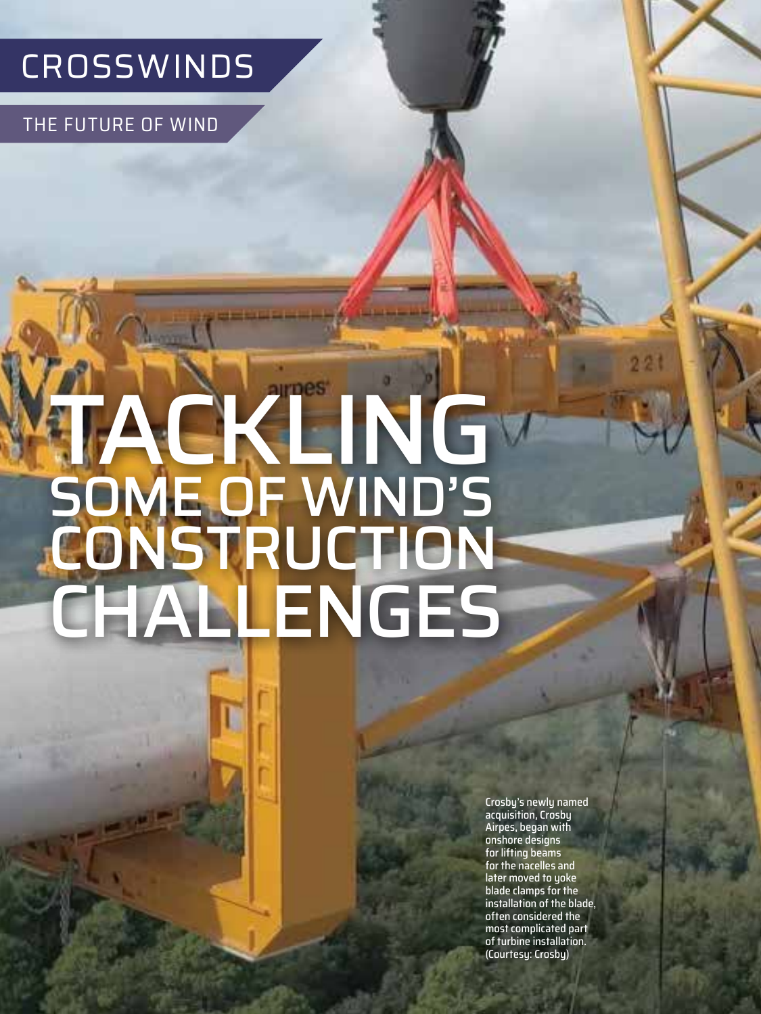## CROSSWINDS

THE FUTURE OF WIND

**44** MAY 2022

# TACKLING SOME OF WIND'S CONSTRUCTION **CHALLENGES**

Crosby's newly named acquisition, Crosby Airpes, began with onshore designs for lifting beams for the nacelles and later moved to yoke blade clamps for the installation of the blade, often considered the most complicated part of turbine installation. (Courtesy: Crosby)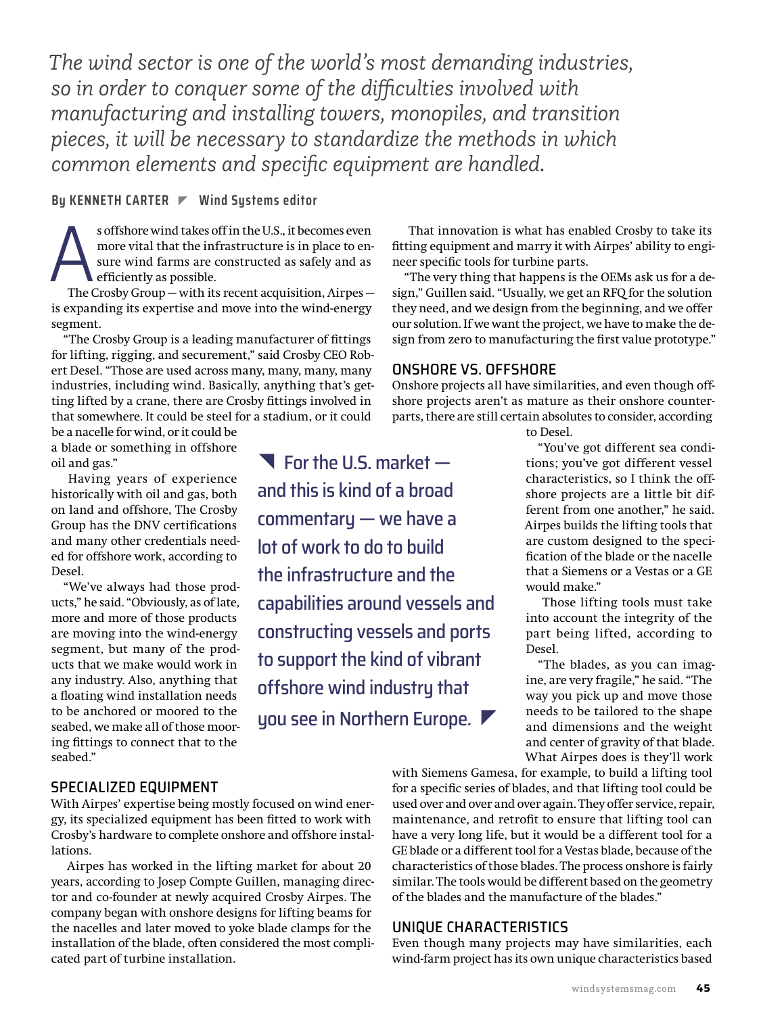*The wind sector is one of the world's most demanding industries, so in order to conquer some of the difficulties involved with manufacturing and installing towers, monopiles, and transition pieces, it will be necessary to standardize the methods in which common elements and specific equipment are handled.*

### **By KENNETH CARTER Wind Systems editor**

s offshore wind takes off in the U.S., it becomes even<br>more vital that the infrastructure is in place to en-<br>sure wind farms are constructed as safely and as<br>efficiently as possible.<br>The Crosby Group — with its recent acqu more vital that the infrastructure is in place to ensure wind farms are constructed as safely and as efficiently as possible.

is expanding its expertise and move into the wind-energy segment.

"The Crosby Group is a leading manufacturer of fittings for lifting, rigging, and securement," said Crosby CEO Robert Desel. "Those are used across many, many, many, many industries, including wind. Basically, anything that's getting lifted by a crane, there are Crosby fittings involved in that somewhere. It could be steel for a stadium, or it could

be a nacelle for wind, or it could be a blade or something in offshore oil and gas."

Having years of experience historically with oil and gas, both on land and offshore, The Crosby Group has the DNV certifications and many other credentials needed for offshore work, according to Desel.

"We've always had those products," he said. "Obviously, as of late, more and more of those products are moving into the wind-energy segment, but many of the products that we make would work in any industry. Also, anything that a floating wind installation needs to be anchored or moored to the seabed, we make all of those mooring fittings to connect that to the seabed."

 $\blacksquare$  For the U.S. market  $$ and this is kind of a broad commentary — we have a lot of work to do to build the infrastructure and the capabilities around vessels and constructing vessels and ports to support the kind of vibrant offshore wind industry that you see in Northern Europe.

That innovation is what has enabled Crosby to take its fitting equipment and marry it with Airpes' ability to engineer specific tools for turbine parts.

"The very thing that happens is the OEMs ask us for a design," Guillen said. "Usually, we get an RFQ for the solution they need, and we design from the beginning, and we offer our solution. If we want the project, we have to make the design from zero to manufacturing the first value prototype."

## ONSHORE VS. OFFSHORE

Onshore projects all have similarities, and even though offshore projects aren't as mature as their onshore counterparts, there are still certain absolutes to consider, according

to Desel.

"You've got different sea conditions; you've got different vessel characteristics, so I think the offshore projects are a little bit different from one another," he said. Airpes builds the lifting tools that are custom designed to the specification of the blade or the nacelle that a Siemens or a Vestas or a GE would make."

Those lifting tools must take into account the integrity of the part being lifted, according to Desel.

"The blades, as you can imagine, are very fragile," he said. "The way you pick up and move those needs to be tailored to the shape and dimensions and the weight and center of gravity of that blade. What Airpes does is they'll work

## SPECIALIZED EQUIPMENT

With Airpes' expertise being mostly focused on wind energy, its specialized equipment has been fitted to work with Crosby's hardware to complete onshore and offshore installations.

Airpes has worked in the lifting market for about 20 years, according to Josep Compte Guillen, managing director and co-founder at newly acquired Crosby Airpes. The company began with onshore designs for lifting beams for the nacelles and later moved to yoke blade clamps for the installation of the blade, often considered the most complicated part of turbine installation.

with Siemens Gamesa, for example, to build a lifting tool for a specific series of blades, and that lifting tool could be used over and over and over again. They offer service, repair, maintenance, and retrofit to ensure that lifting tool can have a very long life, but it would be a different tool for a GE blade or a different tool for a Vestas blade, because of the characteristics of those blades. The process onshore is fairly similar. The tools would be different based on the geometry of the blades and the manufacture of the blades."

## UNIQUE CHARACTERISTICS

Even though many projects may have similarities, each wind-farm project has its own unique characteristics based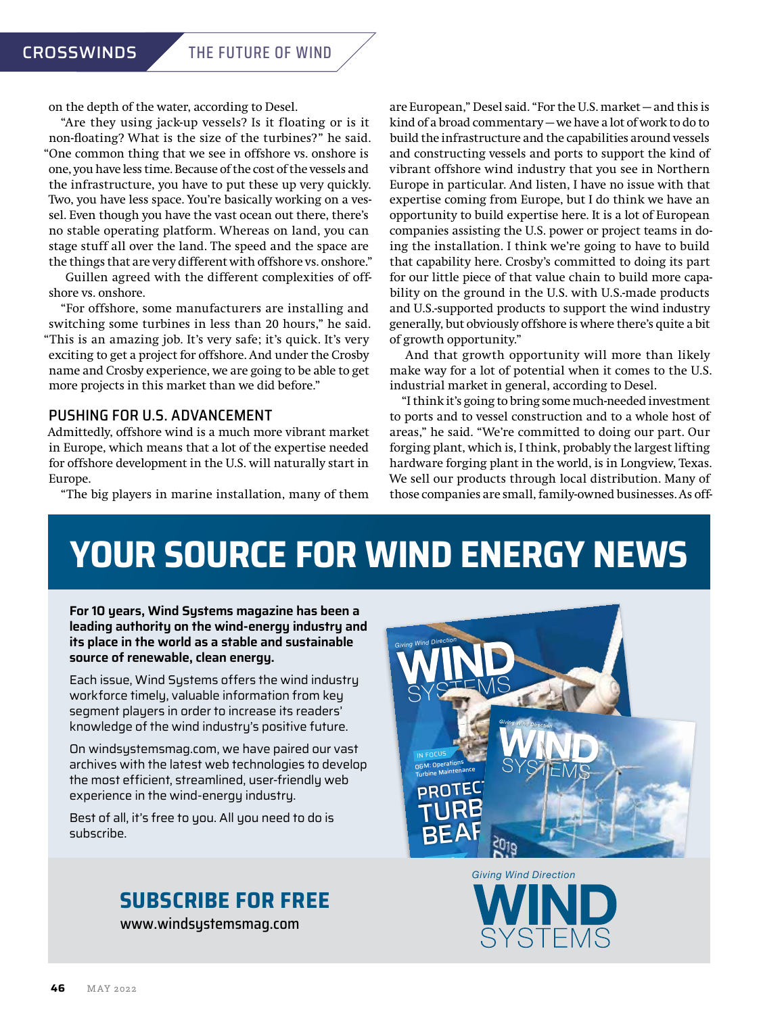on the depth of the water, according to Desel.

"Are they using jack-up vessels? Is it floating or is it non-floating? What is the size of the turbines?" he said. "One common thing that we see in offshore vs. onshore is one, you have less time. Because of the cost of the vessels and the infrastructure, you have to put these up very quickly. Two, you have less space. You're basically working on a vessel. Even though you have the vast ocean out there, there's no stable operating platform. Whereas on land, you can stage stuff all over the land. The speed and the space are the things that are very different with offshore vs. onshore."

Guillen agreed with the different complexities of offshore vs. onshore.

"For offshore, some manufacturers are installing and switching some turbines in less than 20 hours," he said. "This is an amazing job. It's very safe; it's quick. It's very exciting to get a project for offshore. And under the Crosby name and Crosby experience, we are going to be able to get more projects in this market than we did before."

## PUSHING FOR U.S. ADVANCEMENT

Admittedly, offshore wind is a much more vibrant market in Europe, which means that a lot of the expertise needed for offshore development in the U.S. will naturally start in Europe.

"The big players in marine installation, many of them

are European," Desel said. "For the U.S. market — and this is kind of a broad commentary — we have a lot of work to do to build the infrastructure and the capabilities around vessels and constructing vessels and ports to support the kind of vibrant offshore wind industry that you see in Northern Europe in particular. And listen, I have no issue with that expertise coming from Europe, but I do think we have an opportunity to build expertise here. It is a lot of European companies assisting the U.S. power or project teams in doing the installation. I think we're going to have to build that capability here. Crosby's committed to doing its part for our little piece of that value chain to build more capability on the ground in the U.S. with U.S.-made products and U.S.-supported products to support the wind industry generally, but obviously offshore is where there's quite a bit of growth opportunity."

And that growth opportunity will more than likely make way for a lot of potential when it comes to the U.S. industrial market in general, according to Desel.

"I think it's going to bring some much-needed investment to ports and to vessel construction and to a whole host of areas," he said. "We're committed to doing our part. Our forging plant, which is, I think, probably the largest lifting hardware forging plant in the world, is in Longview, Texas. We sell our products through local distribution. Many of those companies are small, family-owned businesses. As off-

## **YOUR SOURCE FOR WIND ENERGY NEWS**

**For 10 years, Wind Systems magazine has been a leading authority on the wind-energy industry and its place in the world as a stable and sustainable source of renewable, clean energy.** 

Each issue, Wind Systems offers the wind industry workforce timely, valuable information from key segment players in order to increase its readers' knowledge of the wind industry's positive future.

On windsystemsmag.com, we have paired our vast archives with the latest web technologies to develop the most efficient, streamlined, user-friendly web experience in the wind-energy industry.

Best of all, it's free to you. All you need to do is subscribe.

## **SUBSCRIBE FOR FREE**

[www.windsystemsmag.com](http://www.windsystemsmag.com)



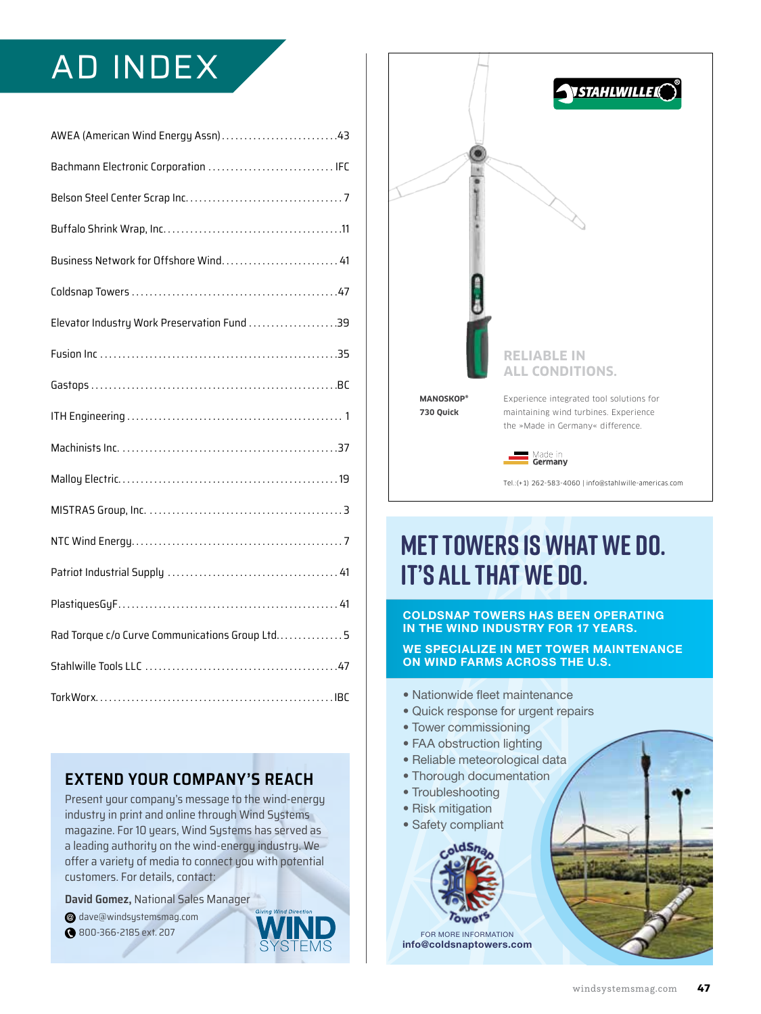## AD INDEX

| AWEA (American Wind Energy Assn)43             |  |
|------------------------------------------------|--|
| Bachmann Electronic Corporation  IFC           |  |
|                                                |  |
|                                                |  |
| Business Network for Offshore Wind 41          |  |
|                                                |  |
| Elevator Industry Work Preservation Fund 39    |  |
|                                                |  |
|                                                |  |
|                                                |  |
|                                                |  |
|                                                |  |
|                                                |  |
|                                                |  |
|                                                |  |
|                                                |  |
| Rad Torque c/o Curve Communications Group Ltd5 |  |
|                                                |  |
|                                                |  |

## **EXTEND YOUR COMPANY'S REACH**

Present your company's message to the wind-energy industry in print and online through Wind Systems magazine. For 10 years, Wind Systems has served as a leading authority on the wind-energy industry. We offer a variety of media to connect you with potential customers. For details, contact:

**David Gomez,** National Sales Manager

- [dave@windsystemsmag.com](mailto:dave@windsystemsmag.com?subject=Referred by Wind Systems) @
- 800-366-2185 ext. 207



Tel.:(+1) 262-583-4060 | [info@stahlwille-americas.com](mailto:info@stahlwille-americas.com?subject=Referred by Wind Systems)

## **MET TOWERS IS WHAT WE DO. IT'S ALL THAT WE DO.**

#### **COLDSNAP TOWERS HAS BEEN OPERATING IN THE WIND INDUSTRY FOR 17 YEARS.**

**WE SPECIALIZE IN MET TOWER MAINTENANCE ON WIND FARMS ACROSS THE U.S.**

- Nationwide fleet maintenance
- Quick response for urgent repairs
- Tower commissioning
- FAA obstruction lighting
- Reliable meteorological data
- Thorough documentation
- Troubleshooting
- Risk mitigation
- Safety compliant

dSn

FOR MORE INFORMATION **[info@coldsnaptowers.com](mailto:info@coldsnaptowers.com?subject=Referred by Wind Systems)**